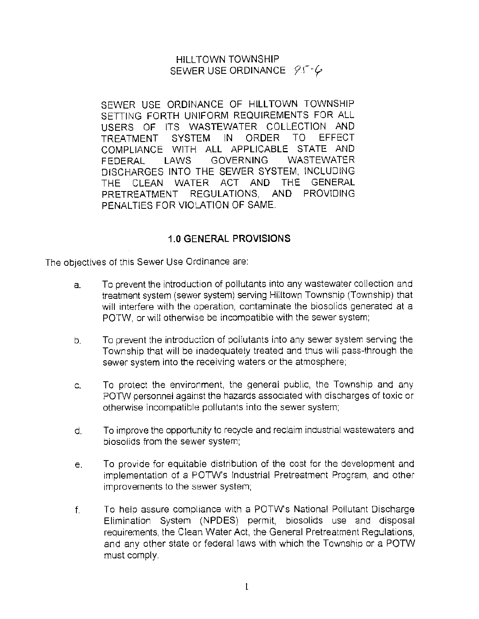### HILL TOWN TOWNSHIP SEWER USE ORDINANCE 95-6

SEWER USE ORDINANCE OF HILLTOWN TOWNSHIP SETTING FORTH UNIFORM REQUIREMENTS FOR ALL USERS OF ITS WASTEWATER COLLECTION AND TREATMENT SYSTEM IN ORDER TO EFFECT COMPLIANCE WITH ALL APPLICABLE STATE AND FEDERAL LAWS GOVERNING WASTEWATER DISCHARGES INTO THE SEWER SYSTEM, INCLUDING THE CLEAN WATER ACT AND THE GENERAL PRETREATMENT REGULATIONS, AND PROVIDING PENALTIES FOR VIOLATION OF SAME.

#### **1.0 GENERAL PROVISIONS**

The objectives of this Sewer Use Ordinance are:

- a. To prevent the introduction of pollutants into any wastewater collection and treatment system (sewer system) serving Hilltown Township (Township) that will interfere with the operation, contaminate the biosolids generated at a POTW, or will otherwise be incompatible with the sewer system:
- b. To prevent the introduction of pollutants into any sewer system serving the Township that will be inadequately treated and thus will pass~through the sewer system into the receiving waters or the atmosphere;
- c. To protect the environment, the general public, the Township and any POTW personnel against the hazards associated with discharges of toxic or otherwise incompatible pollutants into the sewer system;
- d. To improve the opportunity to recycle and reclaim industrial wastewaters and biosolids from the sewer system;
- e. To provide for equitable distribution of the cost for the development and implementation of a POTW's Industrial Pretreatment Program, and other improvements to the sewer system;
- f. To help assure compliance with a POTW's National Pollutant Discharge Elimination System (NPOES) permit, biosolids use and disposal requirements, the Clean Water Act, the General Pretreatment Regulations, and any other state or federal laws with which the Township or a POTW must comply.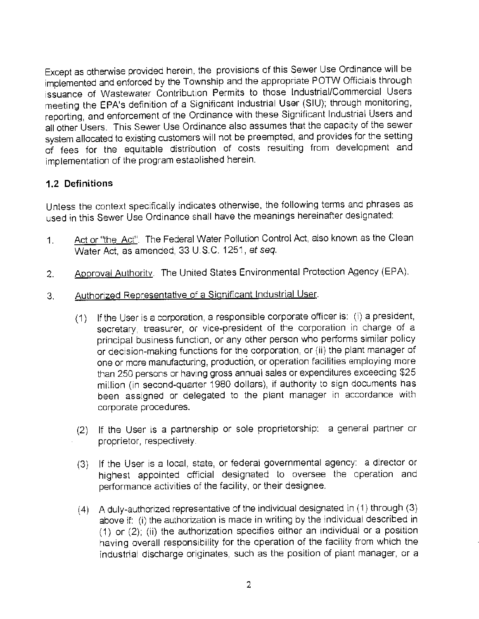Except as otherwise provided herein, the provisions of this Sewer Use Ordinance will be implemented and enforced by the Township and the appropriate POTW Officials through issuance of Wastewater Contribution Permits to those Industrial/Commercial Users meeting the EPA's definition of a Significant Industrial User (SIU); through monitoring, reporting, and enforcement of the Ordinance with these Significant Industrial Users and all other Users. This Sewer Use Ordinance also assumes that the capacity of the sewer system allocated to existing customers will not be preempted, and provides for the setting of fees for the equitable distribution of costs resulting from development and implementation of the program established herein.

## **1.2 Definitions**

Unless the context specifically indicates otherwise, the following terms and phrases as used in this Sewer Use Ordinance shall have the meanings hereinafter designated:

- 1. Act or "the Act". The Federal Water Pollution Control Act, also known as the Clean Water Act, as amended, 33 U.S.C. 1251, *et* seq.
- 2. Approval Authority. The United States Environmental Protection Agency (EPA).
- 3. Authorized Representative of a Significant Industrial User.
	- (1) If the User is a corporation, a responsible corporate officer is: (i) a president, secretary, treasurer, or vice-president of the corporation in charge of a principal business function, or any other person who performs similar policy or decision-making functions for the corporation, or (ii) the plant manager of one or more manufacturing, production, or operation facilities employing more than 250 persons or having gross annual sales or expenditures exceeding \$25 million (in second-quarter 1980 dollars), if authority to sign documents has been assigned or delegated to the plant manager in accordance with corporate procedures.
	- (2) If the User is a partnership or sole proprietorship: a general partner or proprietor, respectively.
	- (3) If the User is a local, state, or federal governmental agency: a director or highest appointed official designated to oversee the operation and performance activities of the facility, or their designee.
	- (4) A duly-authorized represantative of the individual designated in (1) through (3) above if: (i) the authorization is made in writing by the individual described in (1) or (2); (ii) the authorization specifies either an individual or a position having overall responsibility for the operation of the facility from which the industrial discharge originates, such as the position of plant manager, or a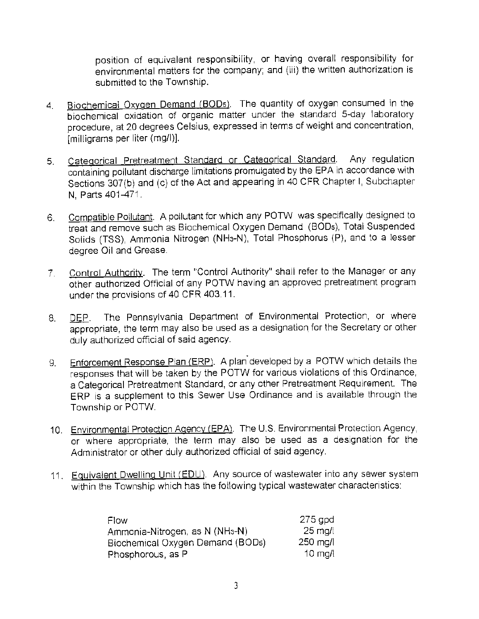position of equivalent responsibility, or having overall responsibility for environmental matters for the company; and (iii) the written authorization is submitted to the Township.

- 4. Biochemical Oxygen Demand (BODs). The quantity of oxygen consumed in the biochemical oxidation of organic matter under the standard 5-day laboratory procedure, at 20 degrees Celsius, expressed in terms of weight and concentration, [milligrams per liter (mg/I)].
- 5. Categorical Pretreatment Standard or Categorical Standard. Any regulation containing pollutant discharge limitations promulgated by the EPA in accordance with Sections 307(b) and (c) of the Act and appearing in 40 CFR Chapter I, Subchapter N, Parts 401-471.
- 6. Compatible Pollutant. A pollutant for which any POTW was specifically designed to treat and remove such as Biochemical Oxygen Demand (B0Ds), Total Suspended Solids (TSS), Ammonia Nitrogen (NH3-N), Total Phosphorus (P), and to a lesser degree Oil and Grease.
- 7. Control Authority. The term "Control Authority" shall refer to the Manager or any other authorized Official of any POTW having an approved pretreatment program under the provisions of 40 CFR 403.11.
- 8. DEP. The Pennsylvania Department of Environmental Protection, or where appropriate, the term may also be used as a designation, for the Secretary or other duly authorized official of said agency.
- 9. Enforcement Response Plan (ERP). A plan developed by a POTW which details the responses that will be taken by the POTW for various violations of this Ordinance, a Categorical Pretreatment Standard, or any other Pretreatment Requirement. The ERP is a supplement to this Sewer Use Ordinance and is available through the Township or POTW.
- 10. Environmental Protection Agency (EPA). The U.S. Environmental Protection Agency, or where appropriate, the term may also be used as a designation for the Administrator or other duly authorized official of said agency.
- 11. Equivalent Dwelling Unit (EDU). Any source of wastewater into any sewer system within the Township which has the following typical wastewater characteristics:

| Flow                                        | 275 gpd           |
|---------------------------------------------|-------------------|
| Ammonia-Nitrogen, as N (NH <sub>3</sub> -N) | $25$ mg/l         |
| Biochemical Oxygen Demand (BODs)            | $250$ mg/l        |
| Phosphorous, as P                           | $10 \text{ m}$ dl |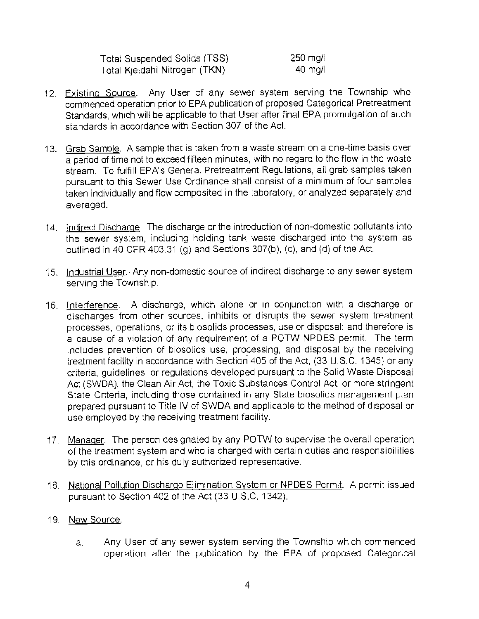| Total Suspended Solids (TSS)  | .250 mg/l |
|-------------------------------|-----------|
| Total Kjeldahi Nitrogen (TKN) | $40$ mg/l |

- 12. Existing Source. Any User of any sewer system serving the Township who commenced operation prior to EPA publication of proposed Categorical Pretreatment Standards, which will be applicable to that User after final EPA promulgation of such standards in accordance with Section 307 of the Act.
- 13. Grab Sample. A sample that is taken from a waste stream on a one-time basis over a period of time not to exceed fifteen minutes, with no regard to the flow in the waste stream. To fulfill EPA's General Pretreatment Regulations, all grab samples taken pursuant to this Sewer Use Ordinance shall consist of a minimum of four samples taken individually and flow composited in the laboratory, or analyzed separately and averaged.
- 14. Indirect Discharge. The discharge or the introduction of non-domestic pollutants into the sewer system, including holding tank waste discharged into the system as outlined in 40 CFR 403.31 (g) and Sections 307(b), (c), and (d) of the Act.
- 15. Industrial User. Any non-domestic source of indirect discharge to any sewer system serving the Township.
- 16. Interference. A discharge, which alone or in conjunction with a discharge or discharges from other sources, inhibits or disrupts the sewer system treatment processes, operations, or its biosolids processes, use or disposal: and therefore is a cause of a violation of any requirement of a POTW NPDES permit. The term includes prevention of biosolids use, processing, and disposal by the receiving treatment facility in accordance with Section 405 of the Act, (33 U.S. C. 1345) or any criteria, guidelines, or regulations developed pursuant to the Solid Waste Disposal Act (SWDA), the Clean Air Act, the Toxic Substances Control Act, or more stringent State Criteria, including those contained in any State biosolids management plan prepared pursuant to Title IV of SWDA and applicable to the method of disposal or use employed by the receiving treatment facility.
- 17. Manager. The person designated by any POTW to supervise the overall operation of the treatment system and who is charged with certain duties and responsibilities by this ordinance, or his duly authorized representative.
- 18. National Pollution Discharge Elimination System or NPDES Permit. A permit issued pursuant to Section 402 of the Act (33 U.S.C. 1342).
- 19. New Source.
	- a. Any User of any sewer system serving the Township which commenced operation after the publication by the EPA of proposed Categorical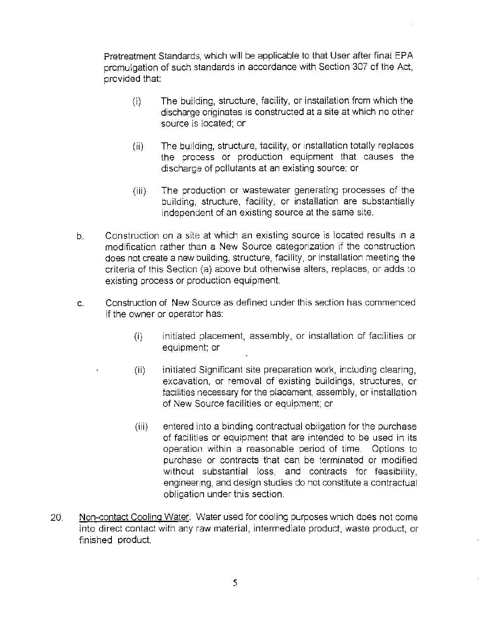Pretreatment Standards, which will be applicable to that User after final EPA promulgation of such standards in accordance with Section 307 of the Act, provided that:

- (i) The building, structure, facility, or installation from which the discharge originates is constructed at a site at which no other source is located; or
- (ii) The building, structure, facility, or installation totally replaces the process or production equipment that causes the discharge of pollutants at an existing source; or
- (iii) The production or wastewater generating processes of the building, structure, facility, or installation are substantially independent of an existing source at the same site.
- b. Construction on a site at which an existing source is located results in a modification rather than a New Source categorization if the construction does not create a new building, structure, facility, or installation meeting the criteria of this Section (a) above but otherwise alters, replaces, or adds to existing process or production equipment.
- c. Construction of New Source as defined under this section has commenced if the owner or operator has:
	- (i) initiated placement, assembly, or installation of facilities or equipment; or
	- (ii) initiated Significant site preparation work, including clearing, excavation, or removal of existing buildings, structures, or facilities necessary for the placement, assembly, or installation of New Source facilities or equipment; or
	- (iii) entered into a binding contractual obligation for the purchase of fadlities or equipment that are intended to be used in its operation within a reasonable period of time. Options to purchase or contracts that can be terminated or modified without substantial loss, and contracts for feasibility, engineering, and design studies do not constitute a contractual obligation under this section.
- 20. Non-contact Cooling Water. Water used for cooling purposes which does not come into direct contact with any raw material, intermediate product, waste product, or finished product.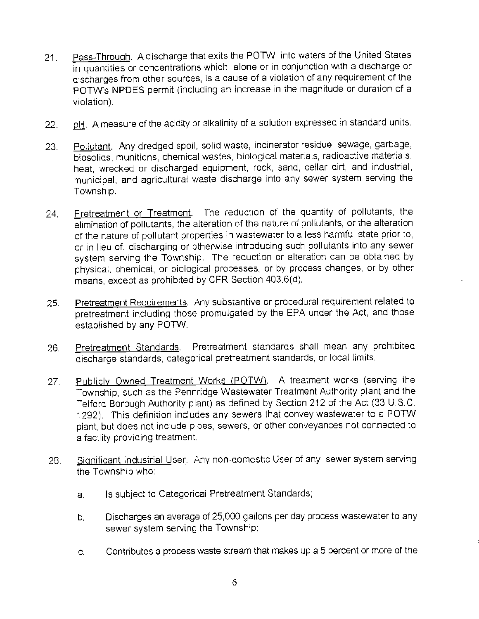- 21. Pass-Through. A discharge that exits the POTW into waters of the United States in quantities or concentrations which, alone or in conjunction with a discharge or discharges from other sources, is a cause of a violation of any requirement of the POTW's NPDES permit (including an increase in the magnitude or duration of a violation).
- 22. pH. A measure of the acidity or alkalinity of a solution expressed in standard units.
- 23. Pollutant. Any dredged spoil, solid waste, incinerator residue, sewage, garbage, biosolids, munitions, chemical wastes, biological materials, radioactive materials, heat, wrecked or discharged equipment, rock, sand, cellar dirt, and industrial, municipal, and agricultural waste discharge into any sewer system serving the Township.
- 24. Pretreatment or Treatment. The reduction of the quantity of pollutants, the elimination of pollutants, the alteration of the nature of pollutants, or the alteration of the nature of pollutant properties in wastewater to a less harmful state prior to, or in lieu of, discharging or otherwise introducing such pollutants into any sewer system serving the Township. The reduction or alteration can be obtained by physical, chemical, or biological processes, or by process changes, or by other means, except as prohibited by CFR Section 403.6(d).
- 25. Pretreatment Requirements. Any substantive or procedural requirement related to pretreatment including those promulgated by the EPA under the Act, and those established by any POTW.
- 26. Pretreatment Standards. Pretreatment standards shall mean any prohibited discharge standards, categorical pretreatment standards, or local limits.
- 27. Publicly Owned Treatment Works (POTW). A treatment works (serving the Township, such as the Pennridge Wastewater Treatment Authority plant and the Telford Borough Authority plant) as defined by Section 212 of the Act (33 U.S.C. 1292). This definition includes any sewers that convey wastewater to a POTW plant, but does not include pioes, sewers, or other conveyances not connected to a facility providing treatment.
- 28. Significant Industrial User. Any non-domestic User of any sewer system serving the Township who:
	- a. Is subject to Categorical Pretreatment Standards;
	- b. Discharges an average of 25,000 gallons per day process wastewater to any sewer system serving the Township;
	- c. Contributes a process waste stream that makes up a 5 percent or more of the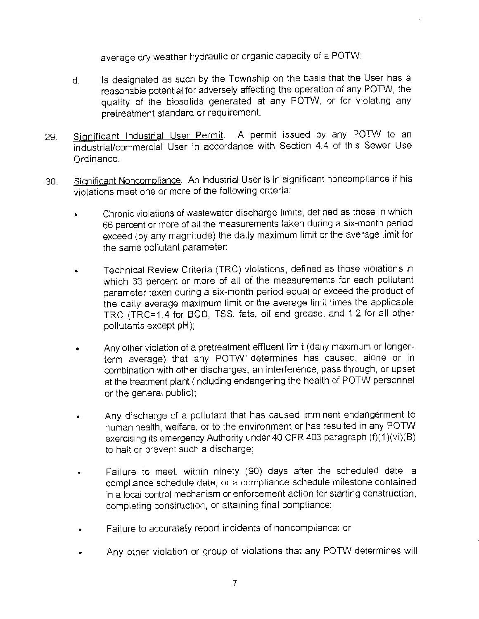average dry weather hydraulic or organic capacity of a POTW;

- d. Is designated as such by the Township on the basis that the User has a reasonable potential for adversely affecting the operation of any POTW, the quality of the biosolids generated at any POTW, or for violating any pretreatment standard or requirement.
- 29. Significant Industrial User Permit. A permit issued by any POTW to an industrial/commercial User in accordance with Section 4.4 of this Sewer Use Ordinance.
- 30. Significant Noncompliance. An Industrial User is in significant noncompliance if his violations meet one or more of the following criteria:
	- Chronic violations of wastewater discharge limits, defined as those in which 66 percent or more of all the measurements taken during a six-month period exceed (by any magnitude) the daily maximum limit or the average limit for the same pollutant parameter:
	- Technical Review Criteria (TRC) violations, defined as those violations in which 33 percent or more of all of the measurements for each pollutant parameter taken during a six-month period equal or exceed the product of the daily average maximum limit or the average limit times the applicable TRC (TRC=1.4 for BOD, TSS, fats, oil and grease, and 1.2 for all other pollutants except pH);
	- Any other violation of a pretreatment effluent limit (daily maximum or longerterm average) that any POTW· determines has caused, alone or in combination with other discharges, an interference, pass through, or upset at the treatment plant (including endangering the health of POTW personnel or the general public);
	- Any discharge of a pollutant that has caused imminent endangerment to human health, welfare, or to the environment or has resulted in any POTW exercising its emergency Authority under 40 CFR 403 paragraph (f)(1 )(vi)(B) to halt or prevent such a discharge;
	- Failure to meet, within ninety (90) days after the scheduled date, a compliance schedule date, or a compliance schedule milestone contained in a local control mechanism or enforcement action for starting construction, completing construction, or attaining final compliance;
	- Failure to accurately report incidents of noncompliance: or
	- Any other violation or group of violations that any POTW determines will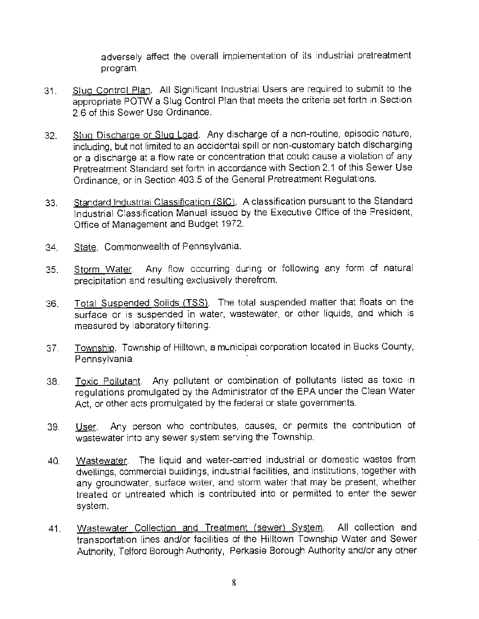adversely affect the overall implementation of its industrial pretreatment program.

- 31. Slug Control Plan. All Significant Industrial Users are required to submit to the appropriate POTW a Slug Control Plan that meets the criteria set forth in Section 2.6 of this Sewer Use Ordinance.
- 32. Slug Discharge or Slug Load. Any discharge of a non-routine, episodic nature, including, but not limited to an accidental spill or non-customary batch discharging or a discharge at a flow rate or concentration that could cause a violation of any Pretreatment Standard set forth in accordance with Section 2.1 of this Sewer Use Ordinance, or in Section 403.5 of the General Pretreatment Regulations.
- 33. Standard Industrial Classification (SIC). A classification pursuant to the Standard Industrial Classification Manual issued by the Executive Office of the President, Office of Management and Budget 1972.
- 34. State. Commonwealth of Pennsylvania.
- 35. Storm Water. Any flow occurring during or following any form of natural precipitation and resulting exclusively therefrom.
- 36. Total Suspended Solids (TSS). The total suspended matter that floats on the surface or is suspended in water, wastewater, or other liquids, and which is measured by laboratory filtering.
- 37. Township. Township of Hilltown, a municipal corporation located in Bucks County, Pennsylvania.
- 38. Toxic Pollutant. Any pollutant or combination of pollutants listed as toxic in regulations promulgated by the Administrator of the EPA under the Clean Water Act, or other acts promulgated by the federal or state governments.
- 39. User. Any person who contributes, causes, or permits the contribution of wastewater into any sewer system serving the Township.
- 40. Wastewater. The liquid and water-carried industrial or domestic wastes from dwellings, commercial buildings, industrial facilities, and institutions, together with any groundwater, suriace water, and storm water that may be present, whether treated or untreated which is contributed into or permitted to enter the sewer system.
- 41. Wastewater Collection and Treatment (sewer) System. All collection and transportation lines and/or facilities of the Hilltown Township Water and Sewer Authority, Telford Borough Authority, Perkasie Borough Authority and/or any other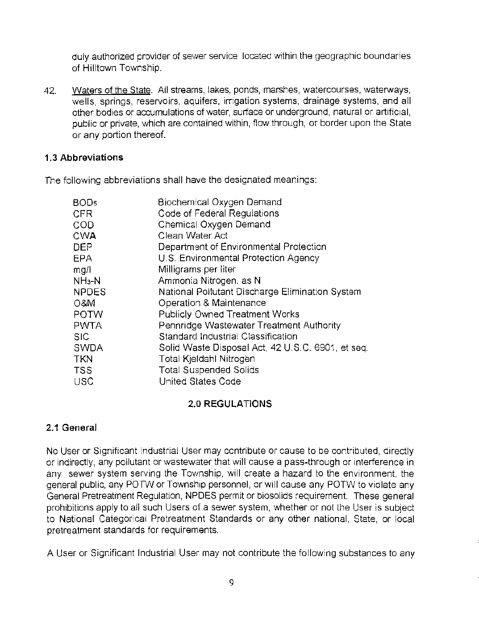duly authorized provider of sewer service located within the geographic boundaries of Hilltown Township.

42. Waters of the State. All streams, lakes, ponds, marshes, watercourses, waterways, wells, springs, reservoirs, aquifers, irrigation systems, drainage systems, and all other bodies or accumulations of water, surface or underground, natural or artificial, public or private, which are contained within, flow through, or border upon the State or any portion thereof.

### **1.3 Abbreviations**

The following abbreviations shall have the designated meanings:

| BOD5         | Biochemical Oxygen Demand                         |
|--------------|---------------------------------------------------|
| CFR.         | Code of Federal Regulations                       |
| COD          | Chemical Oxygen Demand                            |
| <b>CWA</b>   | Clean Water Act                                   |
| DEP          | Department of Environmental Protection            |
| EPA          | U.S. Environmental Protection Agency              |
| mg/l         | Milligrams per liter                              |
| $NH_3-N$     | Ammonia Nitrogen, as N                            |
| <b>NPDES</b> | National Pollutant Discharge Elimination System   |
| 0&M          | Operation & Maintenance                           |
| POTW         | <b>Publicly Owned Treatment Works</b>             |
| <b>PWTA</b>  | Pennridge Wastewater Treatment Authority          |
| <b>SIC</b>   | Standard Industrial Classification                |
| <b>SWDA</b>  | Solid Waste Disposal Act, 42 U.S.C. 6901, et seq. |
| <b>TKN</b>   | Total Kjeldahl Nitrogen                           |
| <b>TSS</b>   | <b>Total Suspended Solids</b>                     |
| <b>USC</b>   | United States Code                                |
|              |                                                   |

# **2.0 REGULATIONS**

# **2.1 General**

No User or Significant Industrial User may contribute or cause to be contributed, directly or indirectly, any pollutant or wastewater that will cause a pass-through or interference in any sewer system serving the Township, will create a hazard to the environment. the general public, any POTVV or Township personnel, or will cause any POTW to violate any General Pretreatment Regulation, NPDES permit or biosolids requirement. These general prohibitions apply to all such Users of a sewer system, whether or not the User is subject to National Categorical Pretreatment Standards or any other national, State, or local pretreatment standards for requirements.

A User or Significant Industrial User may not contribute the following substances to any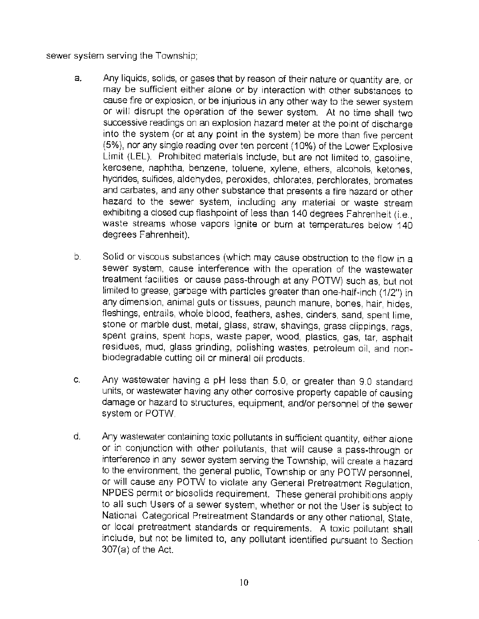#### sewer system serving the Township;

- a. Any liquids, solids, or gases that by reason of their nature or quantity are, or may be sufficient either alone or by interaction with other substances to cause fire or explosion, or be injurious in any other way to the sewer system or will disrupt the operation of the sewer system. At no time shall two successive readings on an explosion hazard meter at the point of discharge into the system (or at any point in the system) be more than five percent (5%), nor any single reading over ten percent (10%) of the Lower Explosive Limit (LEL). Prohibited materials include, but are not limited to, gasoline, kerosene, naphtha, benzene, toluene, xylene, ethers, alcohols, ketones, hydrides, sulfides, aldehydes, peroxides, chlorates, perchlorates, bromates and carbates, and any other substance that presents a fire hazard or other hazard to the sewer system, including any material or waste stream exhibiting a closed cup flashpoint of less than 140 degrees Fahrenheit (i.e., waste streams whose vapors ignite or burn at temperatures below 140 degrees Fahrenheit).
- b. Solid or viscous substances (which may cause obstruction to the flow in a sewer system, cause interference with the operation of the wastewater treatment facilities or cause pass-through at any POTW) such as, but not limited to grease, garbage with particles greater than one-half-inch (1/2") in any dimension, animal guts or tissues, paunch manure, bones, hair, hides, fleshings, entrails, whole blood, feathers, ashes, cinders, sand, spent lime, stone or marble dust, metal, glass, straw, shavings, grass clippings, rags, spent grains, spent hops, waste paper, wood, plastics, gas, tar, asphalt residues, mud, glass grinding, polishing wastes, petroleum oil, and nonbiodegradable cutting oil or mineral oil products.
- c. Any wastewater having a pH less than 5.0, or greater than 9.0 standard units, or wastewater having any other corrosive property capable of causing damage or hazard to structures, equipment, and/or personnel of the sewer system or POTW.
- d. Any wastewater containing toxic pollutants in sufficient quantity, either alone or in conjunction with other pollutants, that will cause a pass-through or interference in any sewer system serving the Township, will create a hazard to the environment, the general public, Township or any POTW personnel, or will cause any POTW to violate any General Pretreatment Regulation, NPDES permit or biosolids requirement. These general prohibitions apply to all such Users of a sewer system, whether or not the User is subject to National Categorical Pretreatment Standards or any other national, State, or local pretreatment standards or requirements. A toxic pollutant shall include, but not be limited to, any pollutant identified pursuant to Section 307(a) of the Act.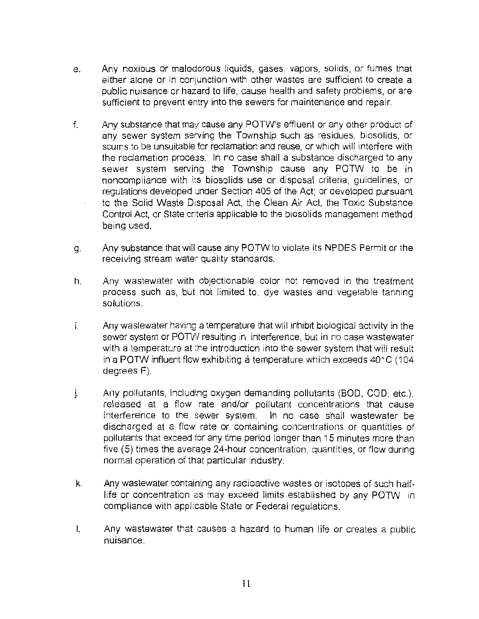- e. Any noxious or malodorous liquids, gases, vapors, solids, or fumes that either alone or in conjunction with other wastes are sufficient to create a public nuisance or hazard to life, cause health and safety problems, or are sufficient to prevent entry into the sewers for maintenance and repair.
- f. Any substance that may cause any POTW's effluent or any other product of any sewer system serving the Township such as residues, biosolids, or scums to be unsuitable for reclamation and reuse, or which will interfere with the reclamation process. In no case shall a substance discharged to any sewer system serving the Township cause any POTW to be in noncompliance with its biosolids use or disposal criteria, guidelines, or regulations developed under Section 405 of the Act; or developed pursuant to the Solid Waste Disposal Act, the Clean Air Act, the Toxic Substance Control Act, or State criteria applicable to the biosolids management method being used.
- g. Any substance that will cause any POTW to violate its NPOES Permit or the receiving stream water quality standards.
- h. Any wastewater with objectionable color not removed in the treatment process such as, but not limited to, dye wastes and vegetable tanning solutions.
- i. Any wastewater having a temperature that will inhibit biological activity in the sewer system or POTW resulting in interference, but in no case wastewater with a temperature at the introduction into the sewer system that will result in a POTW influent flow exhibiting a temperature which exceeds 40° C ( 104 degrees F).
- j. Any pollutants, including oxygen demanding pollutants (BOD, COD, etc.), released at a flow rate and/or pollutant concentrations that cause interference to the sewer system. In no case shall wastewater be discharged at a flow rate or containing concentrations or quantities of pollutants that exceed for any time period longer than 15 minutes more than five (5) times the average 24-hour concentration, quantities, or flow during normal operation of that particular industry.
- k. Any wastewater containing any radioactive wastes or isotopes of such halflife or concentration as may exceed limits established by any POTW in compliance with applicable State or Federal regulations.
- I. Any wastewater that causes a hazard to human life or creates a public nuisance.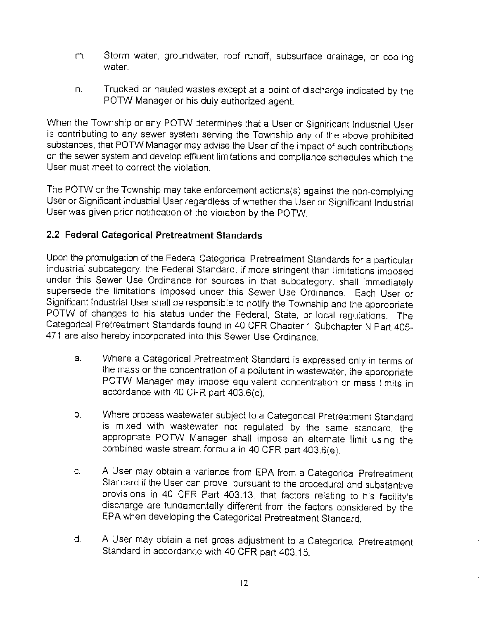- m. Storm water, groundwater, roof runoff, subsurface drainage, or cooling water.
- n. Trucked or hauled wastes except at a point of discharge indicated by the POTW Manager or his duly authorized agent.

When the Township or any POTW determines that a User or Significant Industrial User is contributing to any sewer system serving the Township any of the above prohibited substances, that POTW Manager may advise the User of the impact of such contributions on the sewer system and develop effluent limitations and compliance schedules which the User must meet to correct the violation.

The POTW or the Township may take enforcement actions(s) against the non-complying User or Significant industrial User regardless of whether the User or Significant Industrial User was given prior notification of the violation by the POTW.

## **2.2 Federal Categorical Pretreatment Standards**

Upon the promulgation of the Federal Categorical Pretreatment Standards for a particular industrial subcategory, the Federal Standard, if more stringent than limitations imposed under this Sewer Use Ordinance for sources in that subcategory, shall immediately supersede the limitations imposed under this Sewer Use Ordinance. Each User or Significant Industrial User shall be responsible to notify the Township and the appropriate POTW of changes to his status under the Federal, State, or local regulations. The Categorical Pretreatment Standards found in 40 CFR Chapter 1 Subchapter N Part 405- 471 are also hereby incorporated into this Sewer Use Ordinance.

- a. Where a Categorical Pretreatment Standard is expressed only in terms of the mass or the concentration of a pollutant in wastewater, the appropriate POTW Manager may impose equivalent concentration or mass limits in accordance with 40 CFR part 403.6(c).
- b. Where process wastewater subject to a Categorical Pretreatment Standard is mixed with wastewater not regulated by the same standard, the appropriate POTW Manager shall impose an alternate limit using the combined waste stream formula in 40 CFR part 403.6(e).
- c. A User may obtain a variance from EPA from a Categorical Pretreatment Standard if the User can prove, pursuant to the procedural and substantive provisions in 40 CFR Part 403.13, that factors relating to his facility's discharge are fundamentally different from the factors considered by the EPA when developing the Categorical Pretreatment Standard.
- d. A User may obtain a net gross adjustment to a Categorical Pretreatment Standard in accordance with 40 CFR part 403.15.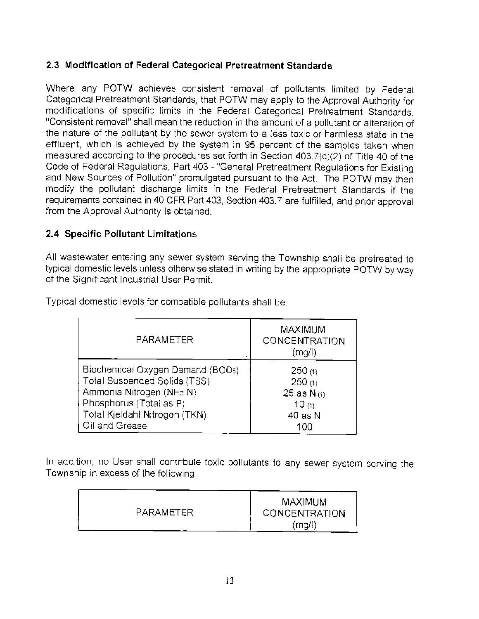# **2.3 Modification of Federal Categorical Pretreatment Standards**

Where any POTW achieves consistent removal of pollutants limited by Federal Categorical Pretreatment Standards, that POTW may apply to the Approval Authority for modifications of specific limits in the Federal Categorical Pretreatment Standards. "Consistent removal" shall mean the reduction in the amount of a pollutant or alteration of the nature of the pollutant by the sewer system to a less toxic or harmless state in the effluent, which is achieved by the system in 95 percent of the samples taken when measured according to the procedures set forth in Section 403.7(c)(2) of Title 40 of the Code of Federal Regulations, Part 403 - ''General Pretreatment Regulations for Existing and New Sources of Pollution" promulgated pursuant to the Act. The POTW may then modify the pollutant discharge limits in the Federal Pretreatment Standards if the requirements contained in 40 CFR Part 403, Section 403. 7 are fulfilled, and prior approval from the Approval Authority is obtained.

### **2.4 Specific Pollutant Limitations**

All wastewater entering any sewer system serving the Township shall be pretreated to typical domestic levels unless otherwise stated in writing by the appropriate POTW by way of the Significant Industrial User Permit.

| PARAMETER                             | <b>MAXIMUM</b><br>CONCENTRATION<br>(mq/l) |
|---------------------------------------|-------------------------------------------|
| Biochemical Oxygen Demand (BOD5)      | 250(1)                                    |
| Total Suspended Solids (TSS)          | 250(1)                                    |
| Ammonia Nitrogen (NH <sub>3</sub> -N) | 25 as $N_{(1)}$                           |
| Phosphorus (Total as P)               | 10(1)                                     |
| Total Kjeldahl Nitrogen (TKN)         | 40 as N                                   |
| Oil and Grease                        | 100                                       |

Typical domestic levels for compatible pollutants shall be:

In addition, no User shall contribute toxic pollutants to any sewer system serving the Township in excess of the following:

| PARAMETER | <b>MAXIMUM</b><br><b>CONCENTRATION</b><br>(mg/f) |
|-----------|--------------------------------------------------|
|-----------|--------------------------------------------------|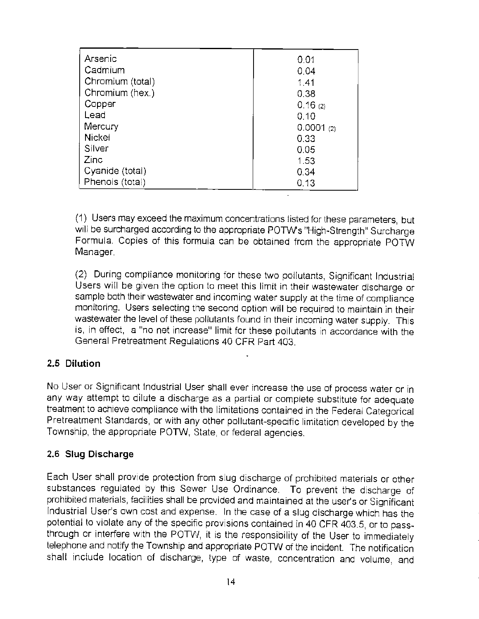| Arsenic          | 0.01      |
|------------------|-----------|
| Cadmium          | 0.04      |
| Chromium (total) | 1.41      |
| Chromium (hex.)  | 0.38      |
| Copper           | 0.16(2)   |
| Lead             | 0.10      |
| Mercury          | 0.0001(2) |
| <b>Nickel</b>    | 0.33      |
| Silver           | 0.05      |
| Zinc             | 1.53      |
| Cyanide (total)  | 0.34      |
| Phenois (total)  | 0.13      |

( 1) Users may exceed the maximum concentrations listed for these parameters, but will be surcharged according to the appropriate POTW's "High-Strength" Surcharge Formula. Copies of this formula can be obtained from the appropriate POTW Manager.

(2) During compliance monitoring for these two pollutants, Significant Industrial Users will be given the option to meet this limit in their wastewater discharge or sample both their wastewater and incoming water supply at the time of compliance monitoring. Users selecting the second option will be required to maintain in their wastewater the level of these pollutants found in their incoming water supply. This is, in effect, a "no net increase" limit for these pollutants in accordance with the General Pretreatment Regulations 40 CFR Part 403.

### **2.5 Dilution**

No User or Significant Industrial User shall ever increase the use of process water or in any way attempt to dilute a discharge as a partial or complete substitute for adequate treatment to achieve compliance with the limitations contained in the Federal Categorical Pretreatment Standards, or with any other pollutant-specific limitation developed by the Township, the appropriate POTW, State, or federal agencies.

### **2.6 Slug Discharge**

Each User shall provide protection from slug discharge of prohibited materials or other substances regulated by this Sewer Use Ordinance. To prevent the discharge of prohibited materials, facilities shall be provided and maintained at the user's or Significant Industrial User's own cost and expense. In the case of a slug discharge which has the potential to violate any of the specific provisions contained in 40 CFR 403.5, or to passthrough or interfere with the POTW, it is the responsibility of the User to immediately telephone and notify the Township and appropriate POTW of the incident. The notification shall include location of discharge, type of waste, concentration and volume, and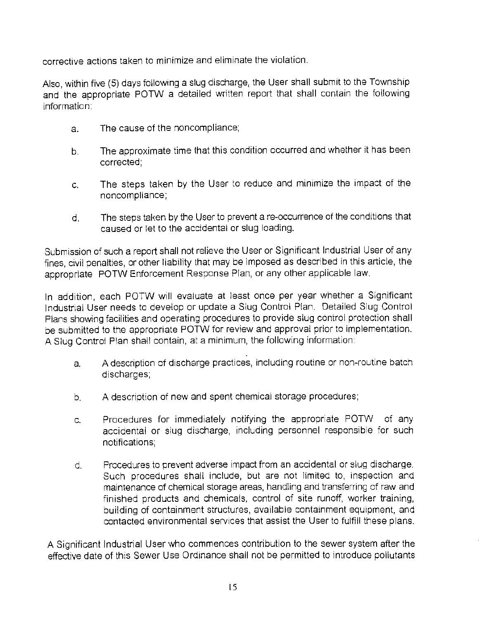corrective actions taken to minimize and eliminate the violation.

Also, within five (5) days following a slug discharge, the User shall submit to the Township and the appropriate POTW a detailed written report that shall contain the following information:

- a. The cause of the noncompliance;
- b. The approximate time that this condition occurred and whether it has been corrected;
- c. The steps taken by the User to reduce and minimize the impact of the noncompliance;
- d. The steps taken by the User to prevent a re-occurrence of the conditions that caused or let to the accidental or slug loading.

Submission of such a report shall not relieve the User or Significant Industrial User of any fines, civil penalties, or other liability that may be imposed as described in this article, the appropriate POTW Enforcement Response Plan, or any other applicable law.

In addition, each POTW will evaluate at least once per year whether a Significant Industrial User needs to develop or update a Slug Control Plan. Detailed Slug Control Plans showing facilities and operating procedures to provide slug control protection shall be submitted to the appropriate POTW for review and approval prior to implementation. A Slug Control Plan shall contain, at a minimum, the following information:

- a. A description of discharge practices, including routine or non-routine batch discharges;
- b. A description of new and spent chemical storage procedures;
- c. Procedures for immediately notifying the appropriate POTW of any accidental or slug discharge, including personnel responsible for such notifications;
- d. Procedures to prevent adverse impact from an accidental or slug discharge. Such procedures shall include, but are not limited to, inspection and maintenance of chemical storage areas, handling and transferring of raw and finished products and chemicals, control of site runoff, worker training, building of containment structures, available containment equipment, and contacted environmental services that assist the User to fulfill these plans.

A Significant Industrial User who commences contribution to the sewer system after the effective date of this Sewer Use Ordinance shall not be permitted to introduce pollutants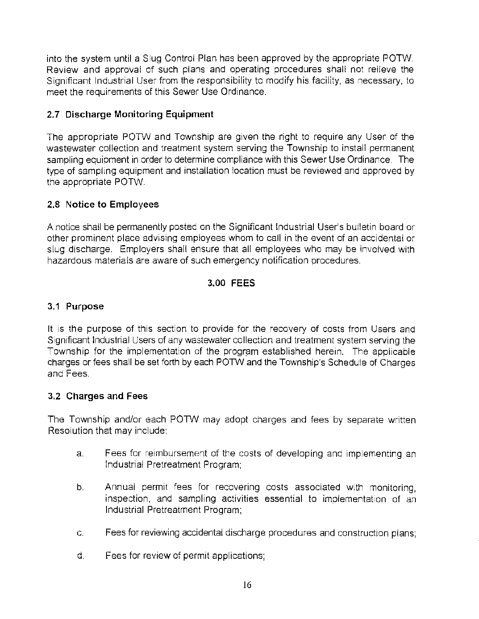into the system until a Slug Control Plan has been approved by the appropriate POTW. Review and approval of such plans and operating procedures shall not relieve the Significant Industrial User from the responsibility to modify his facility, as necessary, to meet the requirements of this Sewer Use Ordinance.

# **2. 7 Discharge Monitoring Equipment**

The appropriate POTW and Township are given the right to require any User of the wastewater collection and treatment system serving the Township to install permanent sampling equipment in order to determine compliance with this Sewer Use Ordinance. The type of sampling equipment and installation location must be reviewed and approved by the appropriate POTW.

## **2.8 Notice to Employees**

A notice shall be permanently posted on the Significant Industrial User's bulletin board or other prominent place advising employees whom to call in the event of an accidental or slug discharge. Employers shall ensure that all employees who may be involved with hazardous materials are aware of such emergency notification procedures.

# **3.00 FEES**

## **3.1 Purpose**

It is the purpose of this section to provide for the recovery of costs from Users and Significant Industrial Users of any wastewater collection and treatment system serving the Township for the implementation of the program established herein. The applicable charges or fees shall be set forth by each POTW and the Township's Schedule of Charges and Fees.

### **3.2 Charges and Fees**

The Township and/or each POTW may adopt charges and fees by separate written Resolution that may include:

- a. Fees for reimbursement of the costs of developing and implementing an Industrial Pretreatment Program;
- b. Annual permit fees for recovering costs associated with monitoring, inspection, and sampling activities essential to implementation of an Industrial Pretreatment Program;
- c. Fees for reviewing accidental discharge procedures and construction plans;
- d. Fees for review of permit applications;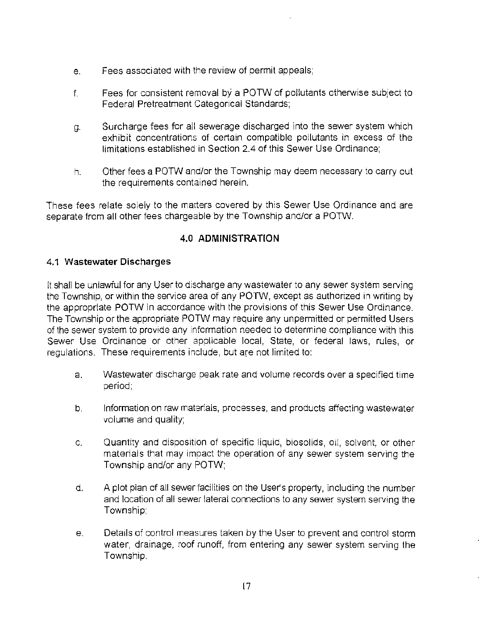- e. Fees associated with the review of permit appeals;
- f. Fees for consistent removal by a POTW of pollutants otherwise subject to Federal Pretreatment Categorical Standards;
- g. Surcharge fees for all sewerage discharged into the sewer system which exhibit concentrations of certain compatible pollutants in excess of the limitations established in Section 2.4 of this Sewer Use Ordinance;
- h. Other fees a POTW and/or the Township may deem necessary to carry out the requirements contained herein.

These fees relate solely to the matters covered by this Sewer Use Ordinance and are separate from all other fees chargeable by the Township and/or a POTW.

# **4.0 ADMINISTRATION**

#### **4.1 Wastewater Discharges**

It shall be unlawful for any User to discharge any wastewater to any sewer system serving the Township, or within the service area of any POTW, except as authorized in writing by the appropriate POTW in accordance with the provisions of this Sewer Use Ordinance. The Township or the appropriate POTW may require any unpermitted or permitted Users of the sewer system to provide any information needed to determine compliance with this Sewer Use Ordinance or other applicable local, State, or federal laws, rules, or regulations. These requirements include, but are not limited to:

- a. Wastewater discharge peak rate and volume records over a specified time period;
- b. Information on raw materials, processes, and products affecting wastewater volume and quality;
- c. Quantity and disposition of specific liquid, biosolids, oil, solvent, or other materials that may imoact the operation of any sewer system serving the Township and/or any POTW;
- d. A plot plan of all sewer facilities on the User's property, including the number and location of all sewer lateral connections to any sewer system serving the Township;
- e. Details of control measures taken by the User to prevent and control storm water, drainage, roof runoff, from entering any sewer system serving the Township.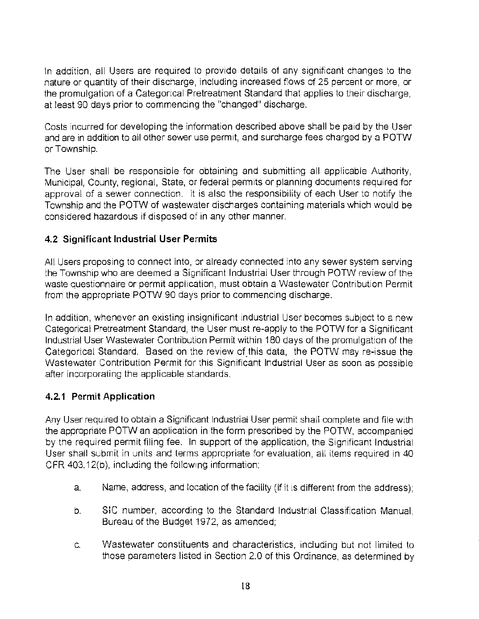In addition, all Users are required to provide details of any significant changes to the nature or quantity of their discharge, including increased flows of 25 percent or more, or the promulgation of a Categorical Pretreatment Standard that applies to their discharge, at least 90 days prior to commencing the "changed" discharge.

Costs incurred for developing the information described above shall be paid by the User and are in addition to all other sewer use permit, and surcharge fees charged by a POTW or Township.

The User shall be responsible for obtaining and submitting all applicable Authority, Municipal, County, regional, State, or federal permits or planning documents required for approval of a sewer connection. It is also the responsibility of each User to notify the Township and the POTW of wastewater discharges containing materials which would be considered hazardous if disposed of in any other manner.

### **4.2 Significant Industrial User Permits**

All Users proposing to connect into, or already connected into any sewer system serving the Township who are deemed a Significant Industrial User through POTW review of the waste questionnaire or permit application, must obtain a Wastewater Contribution Permit from the appropriate POTW 90 days prior to commencing discharge.

In addition, whenever an existing insignificant industrial User becomes subject to a new Categorical Pretreatment Standard, the User must re-apply to the POTW for a Significant Industrial User Wastewater Contribution Permit within 180 days of the promulgation of the Categorical Standard. Based on the review of this data, the POTW may re-issue the Wastewater Contribution Permit for this Significant Industrial User as soon as possible after incorporating the applicable standards.

# **4.2.1 Permit Application**

Any User required to obtain a Significant Industrial User permit shall complete and file with the appropriate POTW an application in the form prescribed by the POTW, accompanied by the required permit filing fee. In support of the application, the Significant Industrial User shall submit in units and terms appropriate for evaluation. all items required in 40 CFR 403.12(b), including the following information:

- a. Name, address, and location of the facility (if it is different from the address);
- b. SIC number, according to the Standard Industrial Classification Manual, Bureau of the Budget 1972, as amended;
- c. Wastewater constituents and characteristics, including but not limited to those parameters listed in Section 2.0 of this Ordinance, as determined by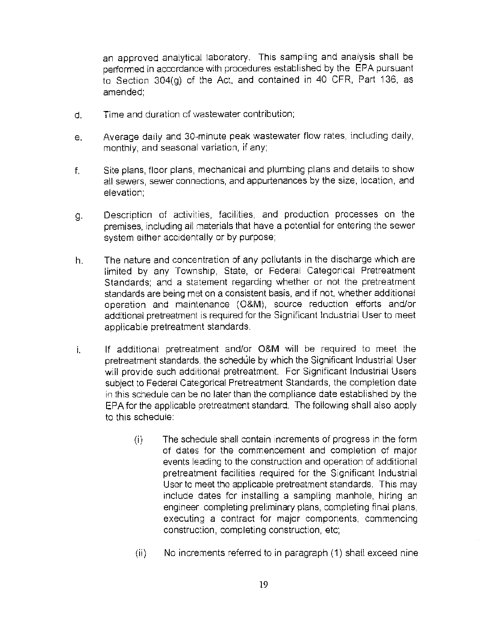an approved analytical laboratory. This sampling and analysis shall be performed in accordance with procedures established by the EPA pursuant to Section 304(g) of the Act. and contained in 40 CFR, Part 136, as amended;

- d. Time and duration of wastewater contribution;
- e. Average daily and 30~minute peak wastewater flow rates, including daily, monthly, and seasonal variation, if any;
- f. Site plans, floor plans, mechanical and plumbing plans and details to show all sewers, sewer connections, and appurtenances by the size, location, and elevation;
- g. Description of activities, facilities, and production processes on the premises, including all materials that have a potential for entering the sewer system either accidentally or by purpose;
- h. The nature and concentration of any pollutants in the discharge which are limited by any Township, State, or Federal Categorical Pretreatment Standards; and a statement regarding whether or not the pretreatment standards are being met on a consistent basis, and if not, whether additional operation and maintenance (O&M), source reduction efforts and/or additional pretreatment is required for the Significant Industrial User to meet applicable pretreatment standards.
- i. If additional pretreatment and/or O&M will be required to meet the pretreatment standards, the schedule by which the Significant Industrial User will provide such additional pretreatment. For Significant Industrial Users subject to Federal Categorical Pretreatment Standards, the completion date in this schedule can be no later than the compliance date established by the EPA for the applicable pretreatment standard. The following shall also apply to this schedule:
	- (i) The schedule shall contain increments of progress in the form of dates for the commencement and completion of major events leading to the construction and operation of additional pretreatment facilities required for the Significant Industrial User to meet the applicable pretreatment standards. This may include dates for installing a sampling manhole, hiring an engineer. completing preliminary plans, completing final plans, executing a contract for major components, commencing construction, completing construction, etc;
	- (ii) No increments referred to in paragraph (1) shall exceed nine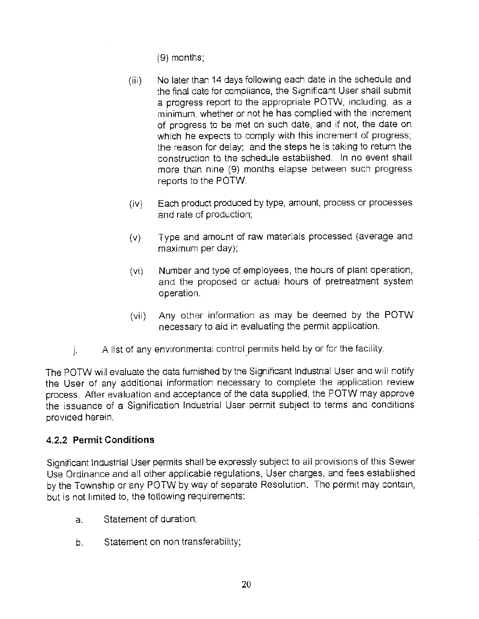(9) months;

- (iii) No later than 14 days following each date in the schedule and the final date for compliance, the Significant User shall submit a progress report to the appropriate POTW, including, as a minimum, whether or not he has complied with the increment of progress to be met on such date, and if not, the date on which he expects to comply with this increment of progress; the reason for delay; and the steps he is taking to return the construction to the schedule established. In no event shall more than nine (9) months elapse between such progress reports to the POTW.
- (iv) Each product produced by type, amount, process or processes and rate of production;
- (v) Type and amount of raw materials processed (average and maximum per day);
- (vi) Number and type of employees, the hours of plant operation, and the proposed or actual hours of pretreatment system operation.
- (vii) Any other information as may be deemed by the POTW necessary to aid in evaluating the permit application.
- $\mu$  A list of any environmental control permits held by or for the facility.

The POTW will evaluate the data furnished by the Significant Industrial User and will notify the User of any additional information necessary to complete the application review process. After evaluation and acceptance of the data supplied, the POTW may approve the issuance of a Signification Industrial User permit subject to terms and conditions provided herein.

### **4.2.2 Permit Conditions**

Significant Industrial User permits shall be expressly subject to all provisions of this Sewer Use Ordinance and all other applicable regulations, User charges, and fees established by the Township or any POTW by way of separate Resolution. The permit may contain, but is not limited to, the following requirements:

- a. Statement of duration;
- b. Statement on non transferability;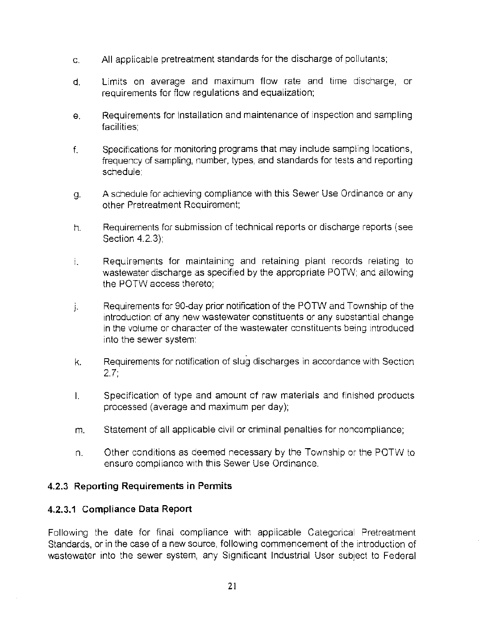- c. All applicable pretreatment standards for the discharge of pollutants;
- d. Limits on average and maximum flow rate and time discharge, or requirements for flow regulations and equalization;
- e. Requirements for installation and maintenance of inspection and sampling facilities;
- f. Specifications for monitoring programs that may include sampling locations, frequency of sampling, number, types, and standards for tests and reporting schedule;
- g. A schedule for achieving compliance with this Sewer Use Ordinance or any other Pretreatment Requirement;
- h. Requirements for submission of technical reports or discharge reports (see Section 4.2.3);
- 1. Requirements for maintaining and retaining plant records relating to wastewater discharge as specified by the appropriate POTW: and allowing the POTW access thereto;
- j. Requirements for 90-day prior notification of the POTW and Township of the introduction of any new wastewater constituents or any substantial change in the volume or character of the wastewater constituents being introduced into the sewer system;
- k. Requirements for notification of slug discharges in accordance with Section 2.7;
- I. Specification of type and amount of raw materials and finished products processed (average and maximum per day);
- m. Statement of all applicable civil or criminal penalties for noncompliance;
- n. Other conditions as deemed necessary by the Township or the POTW to ensure compliance with this Sewer Use Ordinance.

### **4.2.3 Reporting Requirements in Permits**

#### **4.2.3.1 Compliance Data Report**

Following the date for final compliance with applicable Categorical Pretreatment Standards, or in the case of a new source, following commencement of the introduction of wastewater into the sewer system, any Significant Industrial User subject to Federal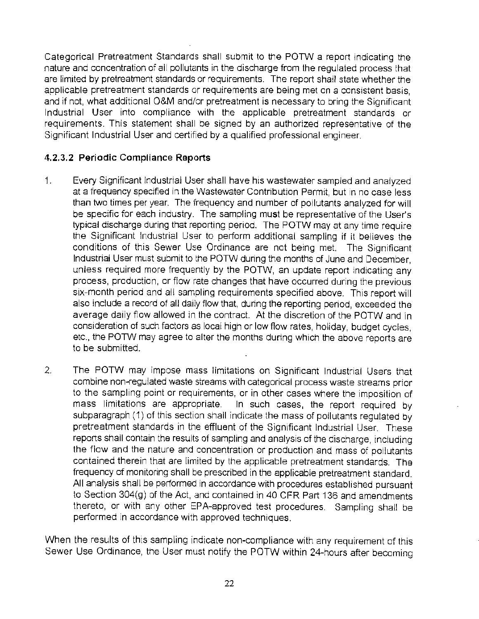Categorical Pretreatment Standards shall submit to the POTW a report indicating the nature and concentration of all pollutants in the discharge from the regulated process that are limited by pretreatment standards or requirements. The report shall state whether the applicable pretreatment standards or requirements are being met on a consistent basis, and if not, what additional O&M and/or pretreatment is necessary to bring the Significant Industrial User into compliance with the applicable pretreatment standards or requirements. This statement shall be signed by an authorized representative of the Significant Industrial User and certified by a qualified professional engineer.

### **4.2.3.2 Periodic Compliance Reports**

- 1. Every Significant Industrial User shall have his wastewater sampled and analyzed at a frequency specified in the Wastewater Contribution Permit, but in no case less than two times per year. The frequency and number of pollutants analyzed for will be specific for each industry. The sampling must be representative of the User's typical discharge during that reporting period. The POTW may at any time require the Significant Industrial User to perform additional sampling if it believes the conditions of this Sewer Use Ordinance are not being met. The Significant Industrial User must submit to the POTW during the months of June and December, unless required more frequently by the POTW, an update report indicating any process, production, or flow rate changes that have occurred during the previous six-month period and all sampling requirements specified above. This report will also include a record of all daily flow that, during the reporting period, exceeded the average daily flow allowed in the contract. At the discretion of the POTW and in consideration of such factors as local high or low flow rates, holiday, budget cycles, etc., the POTW may agree to alter the months during which the above reports are to be submitted.
- 2. The POTW may impose mass limitations on Significant Industrial Users that combine non-regulated waste streams with categorical process waste streams prior to the sampling point or requirements, or in other cases where the imposition of mass limitations are appropriate. In such cases, the report required by subparagraph (1) of this section shall indicate the mass of pollutants regulated by pretreatment standards in the effluent of the Significant Industrial User. These reports shall contain the results of sampling and analysis of the discharge, including the flow and the nature and concentration or production and mass of pollutants contained therein that are limited by the applicable pretreatment standards. The frequency of monitoring shall be prescribed in the applicable pretreatment standard. All analysis shall be performed in accordance with procedures established pursuant to Section 304(g) of the Act, and contained in 40 CFR Part 136 and amendments thereto, or with any other EPA-approved test procedures. Sampling shall be performed in accordance with approved techniques.

When the results of this sampling indicate non-compliance with any requirement of this Sewer Use Ordinance, the User must notify the POTW within 24-hours after becoming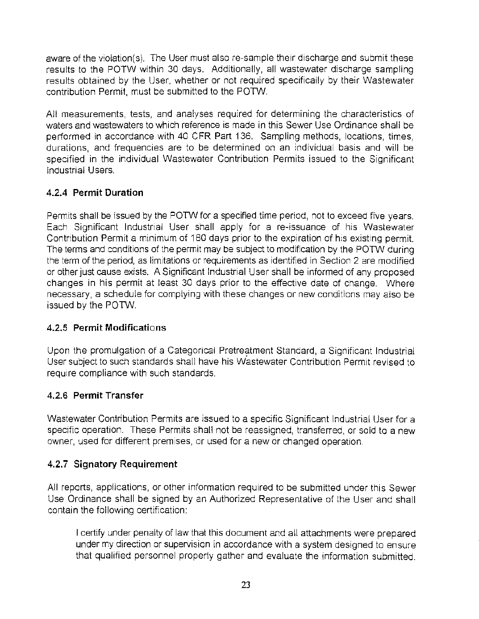aware of the violation(s). The User must also re-sample their discharge and submit these results to the POTW within 30 days. Additionally, all wastewater discharge sampling results obtained by the User, whether or not required specifically by their Wastewater contribution Permit, must be submitted to the POTW.

All measurements, tests, and analyses required for determining the characteristics of waters and wastewaters to which reference is made in this Sewer Use Ordinance shall be performed in accordance with 40 CFR Part 136. Sampling methods, locations, times, durations, and frequencies are to be determined on an individual basis and will be specified in the individual Wastewater Contribution Permits issued to the Significant Industrial Users.

# **4.2.4 Permit Duration**

Permits shall be issued by the POTW for a specified time period, not to exceed five years. Each Significant Industrial User shall apply for a re-issuance of his Wastewater Contribution Permit a minimum of 180 days prior to the expiration of his existing permit. The terms and conditions of the permit may be subject to modification by the POTW during the term of the period, as limitations or requirements as identified in Section 2 are modified or other just cause exists. A Significant Industrial User shall be informed of any proposed changes in his permit at least 30 days prior to the effective date of change. Where necessary, a schedule for complying with these changes or new conditions may also be issued by the POTW.

# **4.2.5 Permit Modifications**

Upon the promulgation of a Categorical Pretreatment Standard, a Significant Industrial User subject to such standards shall have his Wastewater Contribution Permit revised to require compliance with such standards.

# **4.2.6 Permit Transfer**

Wastewater Contribution Permits are issued to a specific Significant Industrial User for a specific operation. These Permits shall not be reassigned, transferred, or sold to a new owner, used for different premises, or used for a new or changed operation.

# **4.2.7 Signatory Requirement**

All reports, applications, or other information required to be submitted under this Sewer Use Ordinance shall be signed by an Authorized Representative of the User and shall contain the following certification:

I certify under penalty of law that this document and all attachments were prepared under my direction or supervision in accordance with a system designed to ensure that qualified personnel properly gather and evaluate the information submitted.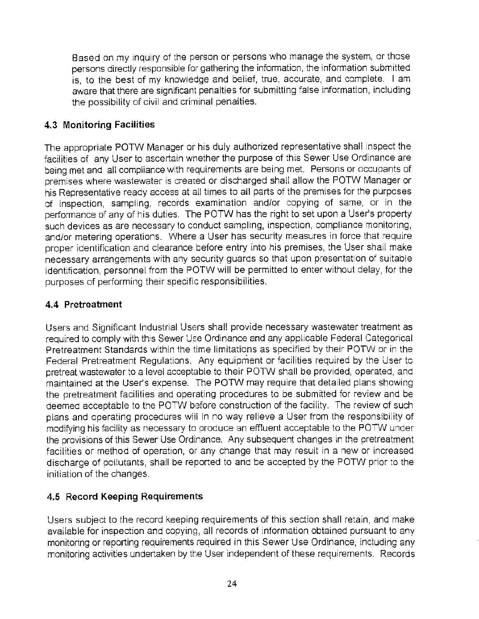Based on my inquiry of the person or persons who manage the system, or those persons directly responsible for gathering the information, the information submitted is, to the best of my knowledge and belief, true, accurate, and complete. I am aware that there are significant penalties for submitting false information, including the possibility of civil and criminal penalties.

# **4.3 Monitoring Facilities**

The appropriate POTW Manager or his duly authorized representative shall inspect the facilities of any User to ascertain whether the purpose of this Sewer Use Ordinance are being met and all compliance with requirements are being met. Persons or occupants of premises where wastewater is created or discharged shall allow the POTW Manager or his Representative ready access at all times to all parts of the premises for the purposes of inspection, sampling, records examination and/or copying of same, or in the performance of any of his duties. The POTW has the right to set upon a User's property such devices as are necessary to conduct sampling, inspection, compliance monitoring, and/or metering operations. Where a User has security measures in force that require proper identification and clearance before entry into his premises, the User shall make necessary arrangements with any security guards so that upon presentation of suitable identification, personnel from the POTW will be permitted to enter without delay, for the purposes of performing their specific responsibilities.

### **4.4 Pretreatment**

Users and Significant Industrial Users shall provide necessary wastewater treatment as required to comply with this Sewer Use Ordinance and any applicable Federal Categorical Pretreatment Standards within the time limitations as specified by their POTW or in the Federal Pretreatment Regulations. Any equipment or facilities required by the User to pretreat wastewater to a level acceptable to their POTW shall be provided, operated, and maintained at the User's expense. The POTW may require that detailed plans showing the pretreatment facilities and operating procedures to be submitted for review and be deemed acceptable to the POTW before construction of the facility. The review of such plans and operating procedures wiil in no way relieve a User from the responsibility of modifying his facility as necessary to produce an effluent acceptable to the POTW under the provisions of this Sewer Use Ordinance. Any subsequent changes in the pretreatment facilities or method of operation, or any change that may result in a new or increased discharge of pollutants, shall be reported to and be accepted by the POTW prior to the initiation of the changes.

# **4.5 Record Keeping Requirements**

Users subject to the record keeping requirements of this section shall retain, and make available for inspection and copying, all records of information obtained pursuant to any monitoring or reporting requirements required in this Sewer Use Ordinance, including any monitoring activities undertaken by the User independent of these requirements. Records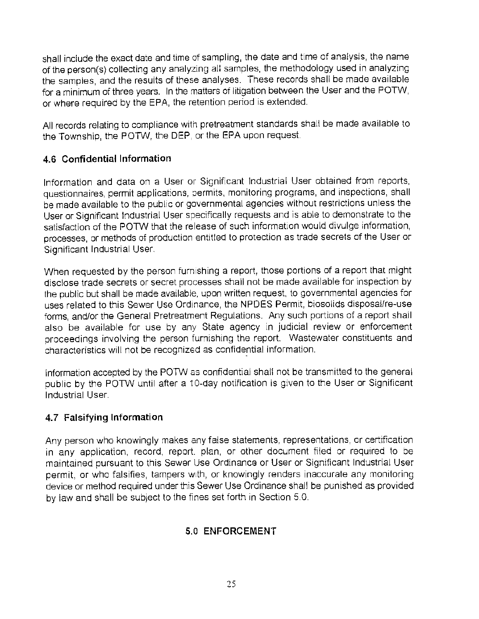shall include the exact date and time of sampling, the date and time of analysis, the name of the person(s) collecting any analyzing all samples, the methodology used in analyzing the samples, and the results of these analyses. These records shall be made available for a minimum of three years. In the matters of litigation between the User and the POTW, or where required by the EPA, the retention period is extended.

All records relating to compliance with pretreatment standards shall be made available to the Township, the POTW, the DEP, or the EPA upon request.

## **4.6 Confidential Information**

Information and data on a User or Significant Industrial User obtained from reports, questionnaires, permit applications, oermits, monitoring programs, and inspections, shall be made available to the public or governmental agencies without restrictions unless the User or Significant Industrial User specifically requests and is able to demonstrate to the satisfaction of the POTW that the release of such information would divulge information, processes, or methods of production entitled to protection as trade secrets of the User or Significant Industrial User.

When requested by the person furnishing a report, those portions of a report that might disclose trade secrets or secret processes shall not be made available for inspection by the public but shall be made available, upon written request, to governmental agencies for uses related to this Sewer Use Ordinance, the NPOES Permit, biosolids disposal/re-use forms, and/or the General Pretreatment Regulations. Any such portions of a report shall also be available for use by any State agency in judicial review or enforcement proceedings involving the person furnishing the report. Wastewater constituents and characteristics will not be recognized as confidential information.

Information accepted by the POTW as confidential shall not be transmitted to the general public by the POTW until after a 10-day notification is given to the User or Significant Industrial User.

### **4. 7 Falsifying Information**

Any person who knowingly makes any false statements, representations, or certification in any application, record, report. plan, or other document filed or required to be maintained pursuant to this Sewer Use Ordinance or User or Significant Industrial User permit, or who falsifies, tampers with, or knowingly renders inaccurate any monitoring device or method required under this Sewer Use Ordinance shall be punished as provided by law and shall be subject to the fines set forth in Section 5.0.

# **5.0 ENFORCEMENT**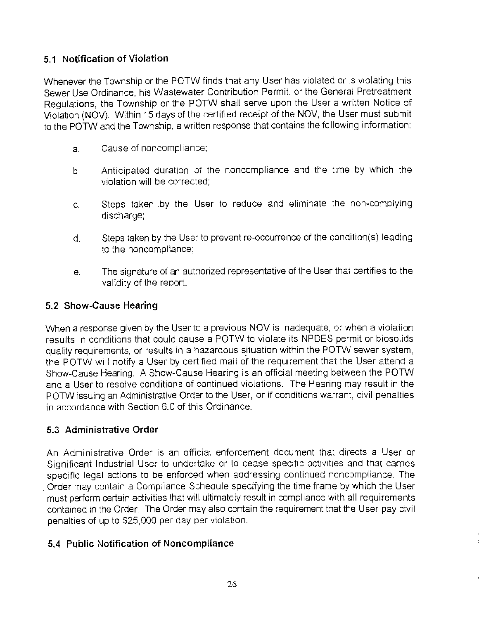## **5.1 Notification of Violation**

Whenever the Township or the POTW finds that any User has violated or is violating this Sewer Use Ordinance, his Wastewater Contribution Permit, or the General Pretreatment Regulations, the Township or the POTW shall serve upon the User a written Notice of Violation (NOV). Within 15 days of the certified receipt of the NOV, the User must submit to the P01W and the Township, a written response that contains the following information:

- a. Cause of noncompliance;
- b. Anticipated duration of the noncompliance and the time by which the violation will be corrected;
- c. Steps taken .by the User to reduce and eliminate the non-complying discharge;
- d. Steps taken by the User to prevent re-occurrence of the condition(s) leading to the noncompliance;
- e. The signature of an authorized representative of the User that certifies to the validity of the report.

### **5.2 Show-Cause Hearing**

When a response given by the User to a previous NOV is inadequate, or when a violation results in conditions that could cause a POTW to violate its NPOES permit or biosolids quality requirements, or results in a hazardous situation within the POTW sewer system, the POTW will notify a User by certified mail of the requirement that the User attend a Show-Cause Hearing. A Show-Cause Hearing is an official meeting between the POTW and a User to resolve conditions of continued violations. The Hearing may result in the POTW issuing an Administrative Order to the User, or if conditions warrant, civil penalties in accordance with Section 6.0 of this Ordinance.

### **5.3 Administrative Order**

An Administrative Order is an official enforcement document that directs a User or Significant Industrial User to undertake or to cease specific activities and that carries specific legal actions to be enforced when addressing continued noncompliance. The . Order may contain a Compliance Schedule specifying the time frame by which the User must perform certain activities that wiil ultimately result in compliance with all requirements contained in the Order. The Order may also contain the requirement that the User pay civil penalties of up to \$25,000 per day per violation.

### **5.4 Public Notification of Noncompliance**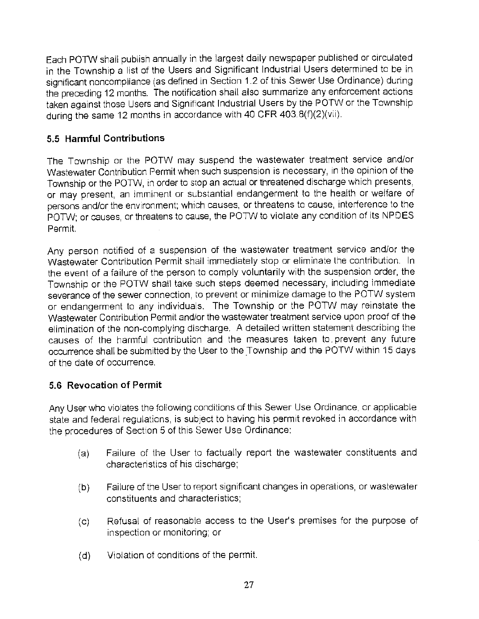Each POTVV shall publish annually in the largest daily newspaper published or circulated in the Township a list of the Users and Significant Industrial Users determined to be in significant noncompliance (as defined in Section 1.2 of this Sewer Use Ordinance) during the preceding 12 months. The notification shall also summarize any enforcement actions taken against those Users and Significant Industrial Users by the POTW or the Township during the same 12 months in accordance with 40 CFR 403.8(f)(2)(vii).

## **5.5 Harmful Contributions**

The Township or the POTW may suspend the wastewater treatment service and/or Wastewater Contribution Permit when such suspension is necessary, in the opinion of the Township or the POTW, in order to stop an actual or threatened discharge which presents, or may present, an imminent or substantial endangerment to the health or welfare of persons and/or the environment; which causes, or threatens to cause, interference to the POTW; or causes, or threatens to cause, the POTW to violate any condition of its NPOES Permit.

Any person notified of a suspension of the wastewater treatment service and/or the Wastewater Contribution Permit shall immediately stop or eliminate the contribution. In the event of a failure of the person to comply voluntarily with the suspension order, the Township or the POTW shall take such steps deemed necessary, including immediate severance of the sewer connection, to prevent or minimize damage to the POTW system or endangerment to any individuals. The Township or the POTW may reinstate the Wastewater Contribution Permit and/or the wastewater treatment service upon proof of the elimination of the non-complying discharge. A detailed written statement describing the causes of the harmful contribution and the measures taken to. prevent any future occurrence shall be submitted by the User to the \_Township and the POTW within 15 days of the date of occurrence.

### **5.6 Revocation of Permit**

Any User who violates the following conditions of this Sewer Use Ordinance, or applicable state and federal regulations, is subject to having his permit revoked in accordance with the procedures of Section 5 of this Sewer Use Ordinance:

- (a) Failure of the User to factually report the wastewater constituents and characteristics of his discharge;
- (b) Failure of the User to report significant changes in operations, or wastewater constituents and characteristics;
- (c) Refusal of reasonable access to the User's premises for the purpose of inspection or monitoring; or
- (d) Violation of conditions of the permit.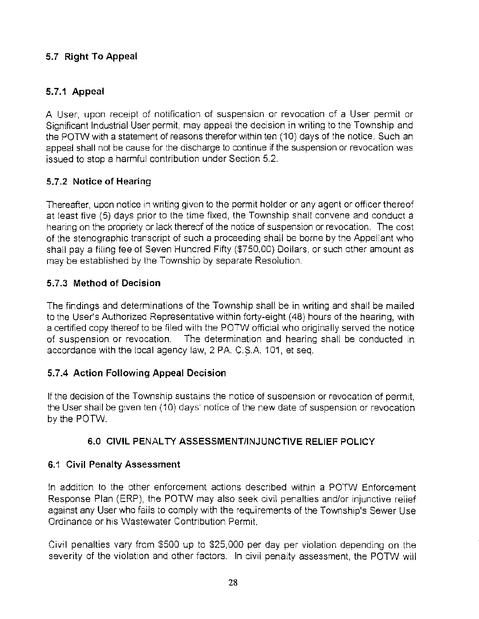# **5. 7 Right To Appeal**

# **5.7.1 Appeal**

A User, upon receipt of notification of suspension or revocation of a User permit or Significant Industrial User permit, may appeal the decision in writing to the Township and the POTW with a statement of reasons therefor within ten (10) days of the notice. Such an appeal shall not be cause for the discharge to continue if the suspension or revocation was issued to stop a harmful contribution under Section 5.2.

## **5.7.2 Notice of Hearing**

Thereafter, upon notice in writing given to the permit holder or any agent or officer thereof at least five (5) days prior to the time fixed, the Township shall convene and conduct a hearing on the propriety or lack thereof of the notice of suspension or revocation. The cost of the stenographic transcript of such a proceeding shall be borne by the Appellant who shall pay a filing fee of Seven Hundred Fifty (\$750.00) Dollars, or such other amount as may be established by the Township by separate Resolution.

## **5.7.3 Method of Decision**

The findings and determinations of the Township shall be in writing and shall be mailed to the User's Authorized Representative within forty-eight (48) hours of the hearing, with a certified copy thereof to be filed with the POTW official who originally served the notice of suspension or revocation. The determination and hearing shall be conducted in accordance with the local agency law, 2 PA. C.S.A. 101, et seq.

# **5. 7.4 Action Following Appeal Decision**

If the decision of the Township sustains the notice of suspension or revocation of permit, the User shall be given ten (10) days' notice of the new date of suspension or revocation by the POTW.

### **6.0 CIVIL PENAL TY ASSESSMENT/INJUNCTIVE RELIEF POLICY**

### **6.1 Civil Penalty Assessment**

In addition to the other enforcement actions described within a POTW Enforcement Response Plan (ERP), the POTW may also seek civil penalties and/or injunctive relief against any User who fails to comply with the requirements of the Township's Sewer Use Ordinance or his Wastewater Contribution Permit.

Civil penalties vary from \$500 up to \$25,000 per day per violation depending on the severity of the violation and other factors. In civil penalty assessment, the POTW will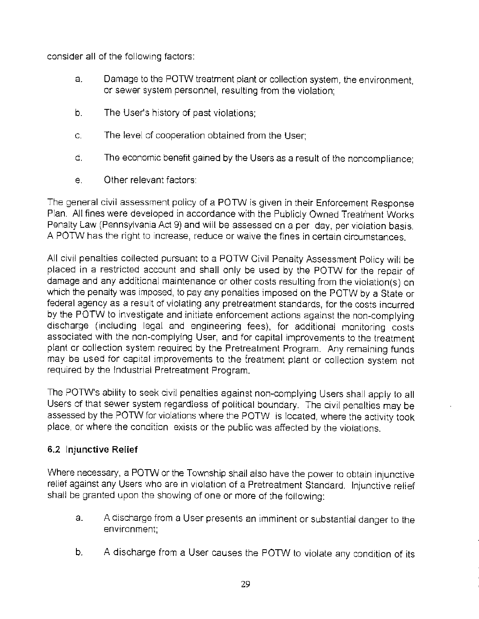consider all of the following factors:

- a. Damage to the POTW treatment plant or collection system, the environment, or sewer system personnel, resulting from the violation;
- b. The User's history of past violations;
- c. The level of cooperation obtained from the User;
- d. The economic benefit gained by the Users as a result of the noncompliance;
- e. Other relevant factors;

The general civil assessment policy of a POTW is given in their Enforcement Response Plan. All fines were developed in accordance with the Publicly Owned Treatment Works Penalty Law (Pennsylvania Act 9) and will be assessed on a per day, per violation basis. A POTW has the right to increase, reduce or waive the fines in certain circumstances.

All civil penalties collected pursuant to a POTW Civil Penalty Assessment Policy will be placed in a restricted account and shall only be used by the POTW for the repair of damage and any additional maintenance or other costs resulting from the violation(s) on which the penalty was imposed, to pay any penalties imposed on the POTW by a State or federal agency as a result of violating any pretreatment standards, for the costs incurred by the POTW to investigate and initiate enforcement actions against the non-complying discharge (including legal and engineering fees), for additional monitoring costs associated with the non-complying User, and for capital improvements to the treatment plant or collection system required by the Pretreatment Program. Any remaining funds may be used for capital improvements to the treatment plant or collection system not required by the Industrial Pretreatment Program.

The POTW's ability to seek civil penalties against non-complying Users shall apply to all Users of that sewer system regardless of political boundary. The civil penalties may be assessed by the POTW for violations where the POTW is located, where the activity took place, or where the condition exists or the public was affected by the violations.

### **6.2 Injunctive Relief**

Where necessary, a POTW or the Township shall also have the power to obtain injunctive relief against any Users who are in violation of a Pretreatment Standard. Injunctive relief shall be granted upon the showing of one or more of the following:

- a. A discharge from a User presents an imminent or substantial danger to the environment;
- b. A discharge from a User causes the POTW to violate any condition of its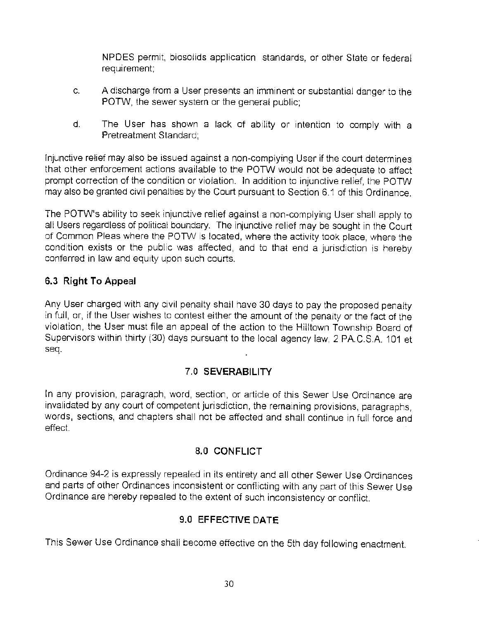NPDES permit, biosoiids application standards, or other State or federal requirement;

- c. A discharge from a User presents an imminent or substantial danger to the POTW, the sewer system or the general public;
- d. The User has shown a lack of ability or intention to comply with a Pretreatment Standard;

Injunctive relief may also be issued against a non-complying User if the court determines that other enforcement actions available to the POTW would not be adequate to affect prompt correction of the condition or violation. In addition to injunctive relief, the POTW may also be granted civil penalties by the Court pursuant to Section 6.1 of this Ordinance.

The POTW's ability to seek injunctive relief against a non-complying User shall apply to all Users regardless of political boundary. The injunctive relief may be sought in the Court of Common Pleas where the POTW is located, where the activity took place, where the condition exists or the public was affected, and to that end a jurisdiction is hereby conferred in law and equity upon such courts.

# **6.3 Right To Appeal**

Any User charged with any civil penalty shall have 30 days to pay the proposed penalty in full, or, if the User wishes to contest either the amount of the penalty or the fact of the violation, the User must file an appeal of the action to the Hilltown Township Board of Supervisors within thirty (30) days pursuant to the local agency law, 2 PA.C.S.A. 101 et seq.

### **7.0 SEVERABILITY**

In any provision, paragraph, word, section, or article of this Sewer Use Ordinance are invalidated by any court of competent jurisdiction, the remaining provisions, paragraphs, words, sections, and chapters shall not be affected and shall continue in full force and effect.

### **8.0 CONFLICT**

Ordinance 94-2 is expressly repealed in its entirety and all other Sewer Use Ordinances and parts of other Ordinances inconsistent or conflicting with any part of this Sewer Use Ordinance are hereby repealed to the extent of such inconsistency or conflict.

# **9.0 EFFECTIVE DATE**

This Sewer Use Ordinance shall become effective on the 5th day following enactment.